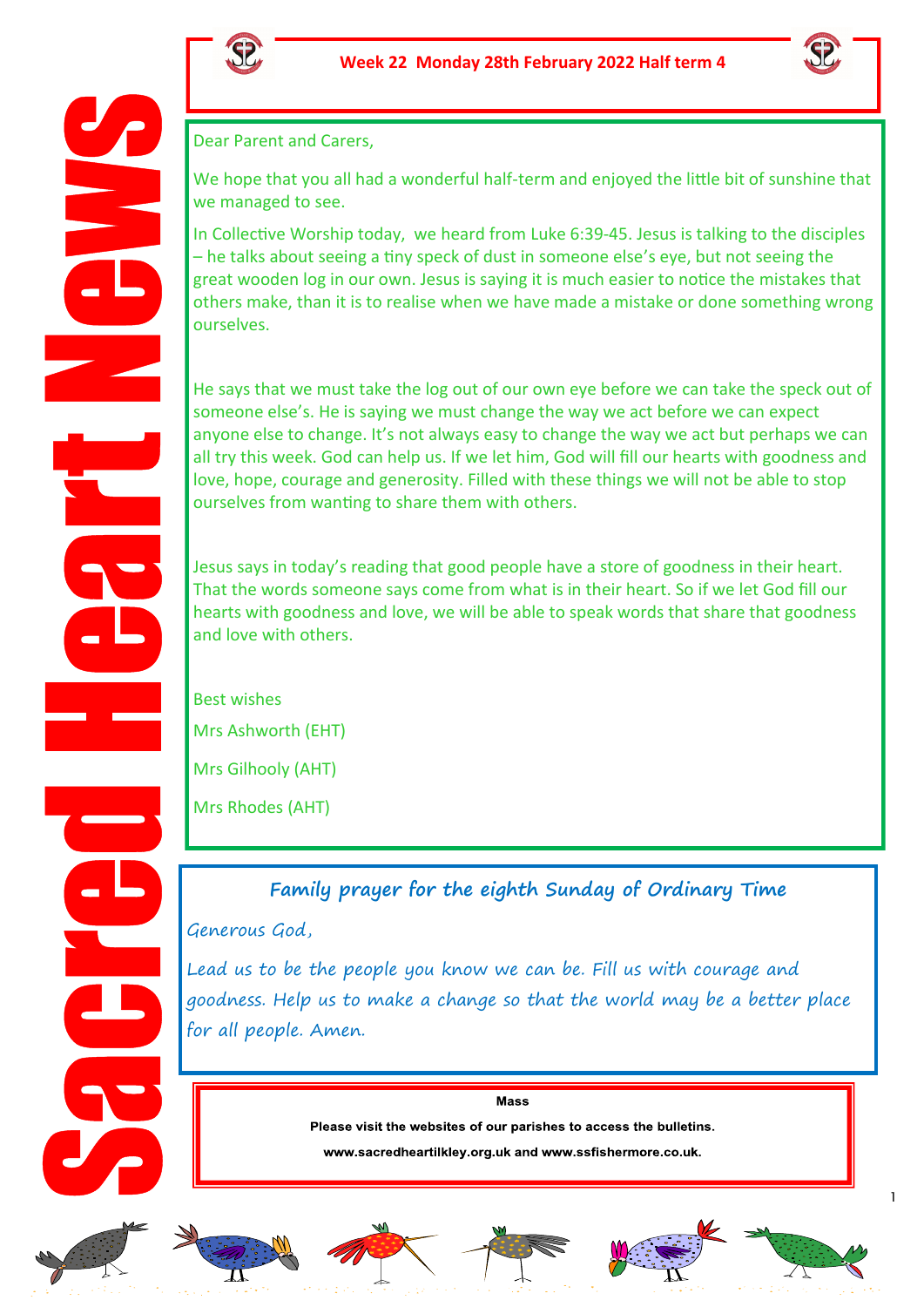



Dear Parent and Carers,

We hope that you all had a wonderful half-term and enjoyed the little bit of sunshine that we managed to see.

In Collective Worship today, we heard from Luke 6:39-45. Jesus is talking to the disciples – he talks about seeing a tiny speck of dust in someone else's eye, but not seeing the great wooden log in our own. Jesus is saying it is much easier to notice the mistakes that others make, than it is to realise when we have made a mistake or done something wrong ourselves.

He says that we must take the log out of our own eye before we can take the speck out of someone else's. He is saying we must change the way we act before we can expect anyone else to change. It's not always easy to change the way we act but perhaps we can all try this week. God can help us. If we let him, God will fill our hearts with goodness and love, hope, courage and generosity. Filled with these things we will not be able to stop ourselves from wanting to share them with others.

Jesus says in today's reading that good people have a store of goodness in their heart. That the words someone says come from what is in their heart. So if we let God fill our hearts with goodness and love, we will be able to speak words that share that goodness and love with others.

Best wishes Mrs Ashworth (EHT) Mrs Gilhooly (AHT)

Mrs Rhodes (AHT)

**Family prayer for the eighth Sunday of Ordinary Time**

Generous God,

Lead us to be the people you know we can be. Fill us with courage and goodness. Help us to make a change so that the world may be a better place for all people. Amen.

Mass

Please visit the websites of our parishes to access the bulletins.

www.sacredheartilkley.org.uk and www.ssfishermore.co.uk.













1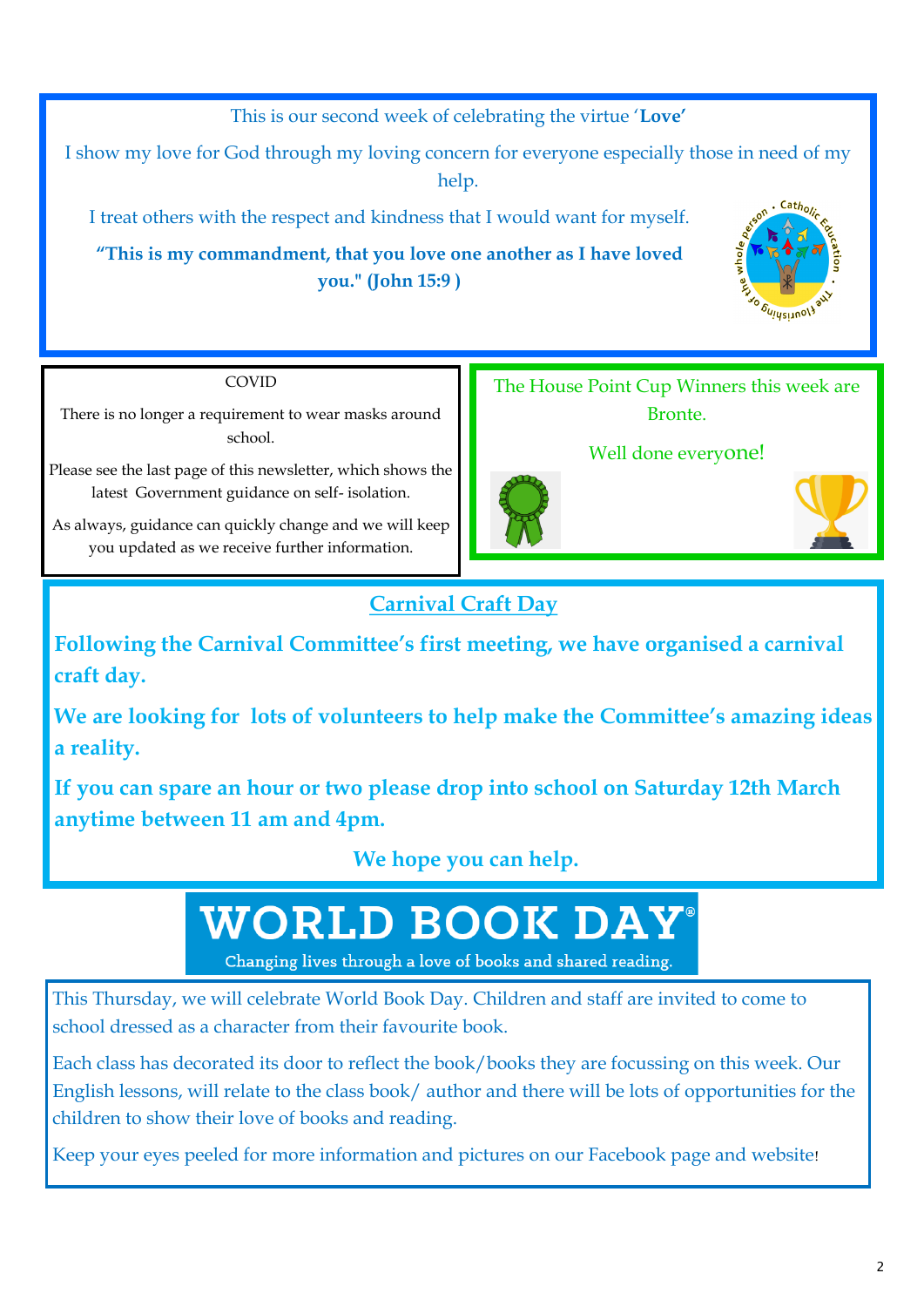This is our second week of celebrating the virtue '**Love'**

I show my love for God through my loving concern for everyone especially those in need of my help.

I treat others with the respect and kindness that I would want for myself.

**"This is my commandment, that you love one another as I have loved you." (John 15:9 )**



COVID

There is no longer a requirement to wear masks around school.

Please see the last page of this newsletter, which shows the latest Government guidance on self- isolation.

As always, guidance can quickly change and we will keep you updated as we receive further information.



Well done everyone!





## **Carnival Craft Day**

**Following the Carnival Committee's first meeting, we have organised a carnival craft day.**

**We are looking for lots of volunteers to help make the Committee's amazing ideas a reality.**

**If you can spare an hour or two please drop into school on Saturday 12th March anytime between 11 am and 4pm.**

**We hope you can help.** 

# **WORLD BOOK DAY®**

Changing lives through a love of books and shared reading.

This Thursday, we will celebrate World Book Day. Children and staff are invited to come to school dressed as a character from their favourite book.

Each class has decorated its door to reflect the book/books they are focussing on this week. Our English lessons, will relate to the class book/ author and there will be lots of opportunities for the children to show their love of books and reading.

Keep your eyes peeled for more information and pictures on our Facebook page and website!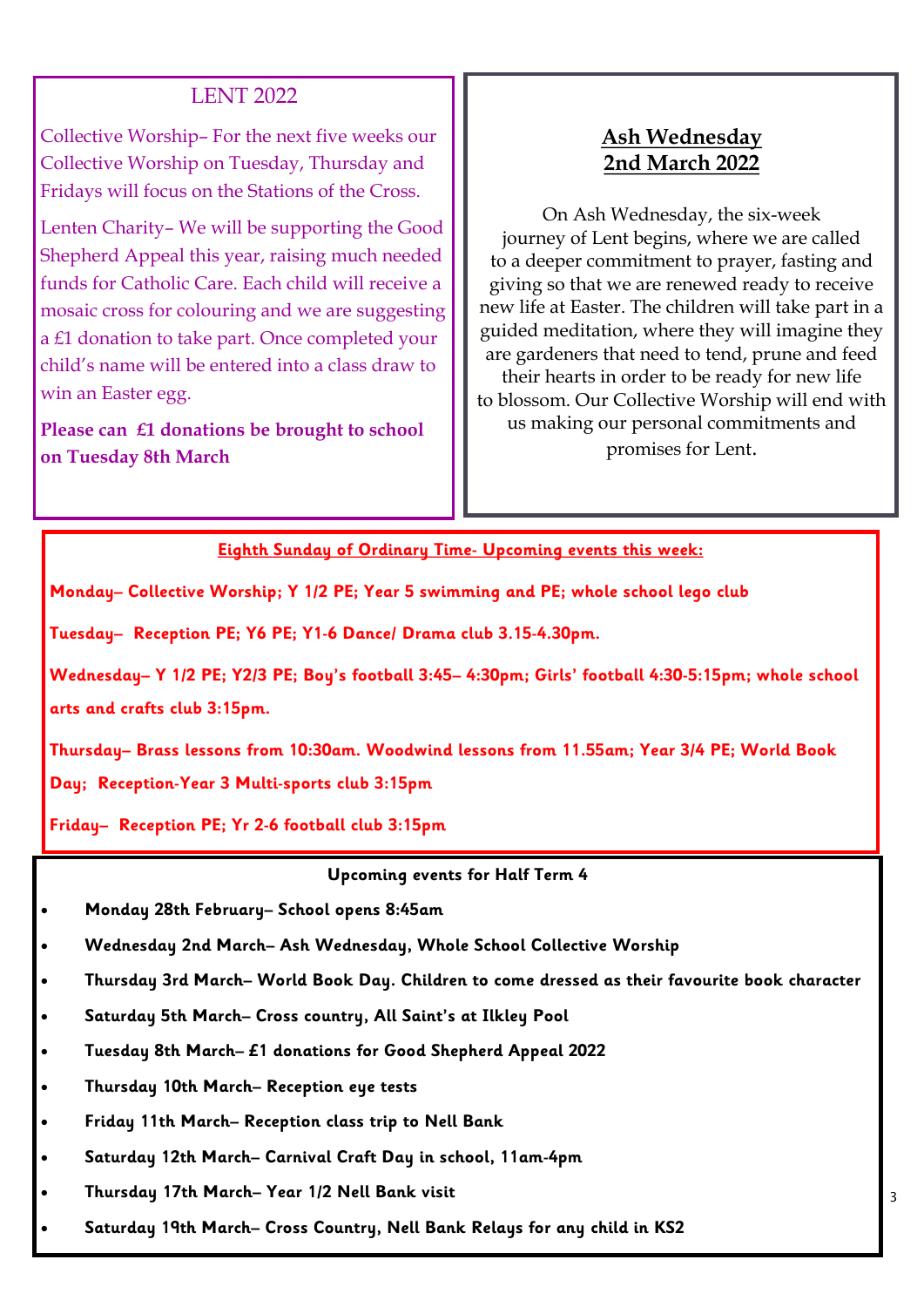#### LENT 2022

Collective Worship– For the next five weeks our Collective Worship on Tuesday, Thursday and Fridays will focus on the Stations of the Cross.

Lenten Charity– We will be supporting the Good Shepherd Appeal this year, raising much needed funds for Catholic Care. Each child will receive a mosaic cross for colouring and we are suggesting a £1 donation to take part. Once completed your child's name will be entered into a class draw to win an Easter egg.

**Please can £1 donations be brought to school on Tuesday 8th March**

#### **Ash Wednesday 2nd March 2022**

On Ash Wednesday, the six-week journey of Lent begins, where we are called to a deeper commitment to prayer, fasting and giving so that we are renewed ready to receive new life at Easter. The children will take part in a guided meditation, where they will imagine they are gardeners that need to tend, prune and feed their hearts in order to be ready for new life to blossom. Our Collective Worship will end with us making our personal commitments and promises for Lent.

**Eighth Sunday of Ordinary Time- Upcoming events this week:** 

**Monday– Collective Worship; Y 1/2 PE; Year 5 swimming and PE; whole school lego club**

**Tuesday– Reception PE; Y6 PE; Y1-6 Dance/ Drama club 3.15-4.30pm.** 

**Wednesday– Y 1/2 PE; Y2/3 PE; Boy's football 3:45– 4:30pm; Girls' football 4:30-5:15pm; whole school arts and crafts club 3:15pm.** 

**Thursday– Brass lessons from 10:30am. Woodwind lessons from 11.55am; Year 3/4 PE; World Book Day; Reception-Year 3 Multi-sports club 3:15pm**

**Friday– Reception PE; Yr 2-6 football club 3:15pm**

**Upcoming events for Half Term 4**

- **Monday 28th February– School opens 8:45am**
- **Wednesday 2nd March– Ash Wednesday, Whole School Collective Worship**
- **Thursday 3rd March– World Book Day. Children to come dressed as their favourite book character**
- **Saturday 5th March– Cross country, All Saint's at Ilkley Pool**
- **Tuesday 8th March– £1 donations for Good Shepherd Appeal 2022**
- **Thursday 10th March– Reception eye tests**
- **Friday 11th March– Reception class trip to Nell Bank**
- **Saturday 12th March– Carnival Craft Day in school, 11am-4pm**
- **Thursday 17th March– Year 1/2 Nell Bank visit**
- **Saturday 19th March– Cross Country, Nell Bank Relays for any child in KS2**